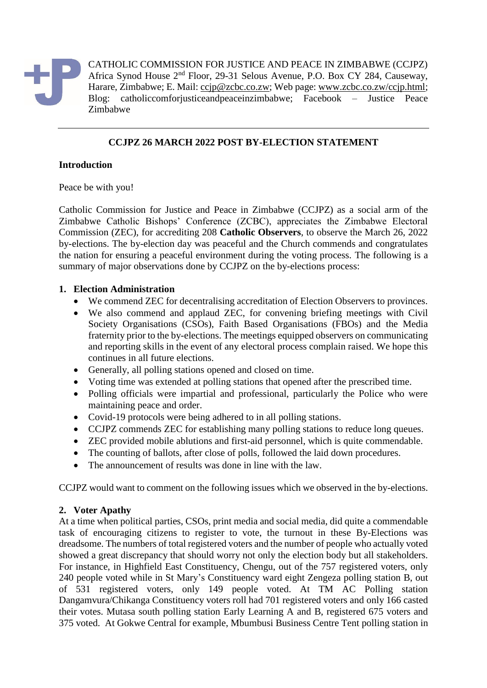

CATHOLIC COMMISSION FOR JUSTICE AND PEACE IN ZIMBABWE (CCJPZ) Africa Synod House 2nd Floor, 29-31 Selous Avenue, P.O. Box CY 284, Causeway, Harare, Zimbabwe; E. Mail: [ccjp@zcbc.co.zw;](mailto:ccjp@zcbc.co.zw) Web page: [www.zcbc.co.zw/ccjp.html;](http://www.zcbc.co.zw/ccjp.html) Blog: catholiccomforjusticeandpeaceinzimbabwe; Facebook – Justice Peace Zimbabwe

# **CCJPZ 26 MARCH 2022 POST BY-ELECTION STATEMENT**

# **Introduction**

Peace be with you!

Catholic Commission for Justice and Peace in Zimbabwe (CCJPZ) as a social arm of the Zimbabwe Catholic Bishops' Conference (ZCBC), appreciates the Zimbabwe Electoral Commission (ZEC), for accrediting 208 **Catholic Observers**, to observe the March 26, 2022 by-elections. The by-election day was peaceful and the Church commends and congratulates the nation for ensuring a peaceful environment during the voting process. The following is a summary of major observations done by CCJPZ on the by-elections process:

# **1. Election Administration**

- We commend ZEC for decentralising accreditation of Election Observers to provinces.
- We also commend and applaud ZEC, for convening briefing meetings with Civil Society Organisations (CSOs), Faith Based Organisations (FBOs) and the Media fraternity prior to the by-elections. The meetings equipped observers on communicating and reporting skills in the event of any electoral process complain raised. We hope this continues in all future elections.
- Generally, all polling stations opened and closed on time.
- Voting time was extended at polling stations that opened after the prescribed time.
- Polling officials were impartial and professional, particularly the Police who were maintaining peace and order.
- Covid-19 protocols were being adhered to in all polling stations.
- CCJPZ commends ZEC for establishing many polling stations to reduce long queues.
- ZEC provided mobile ablutions and first-aid personnel, which is quite commendable.
- The counting of ballots, after close of polls, followed the laid down procedures.
- The announcement of results was done in line with the law.

CCJPZ would want to comment on the following issues which we observed in the by-elections.

# **2. Voter Apathy**

At a time when political parties, CSOs, print media and social media, did quite a commendable task of encouraging citizens to register to vote, the turnout in these By-Elections was dreadsome. The numbers of total registered voters and the number of people who actually voted showed a great discrepancy that should worry not only the election body but all stakeholders. For instance, in Highfield East Constituency, Chengu, out of the 757 registered voters, only 240 people voted while in St Mary's Constituency ward eight Zengeza polling station B, out of 531 registered voters, only 149 people voted. At TM AC Polling station Dangamvura/Chikanga Constituency voters roll had 701 registered voters and only 166 casted their votes. Mutasa south polling station Early Learning A and B, registered 675 voters and 375 voted. At Gokwe Central for example, Mbumbusi Business Centre Tent polling station in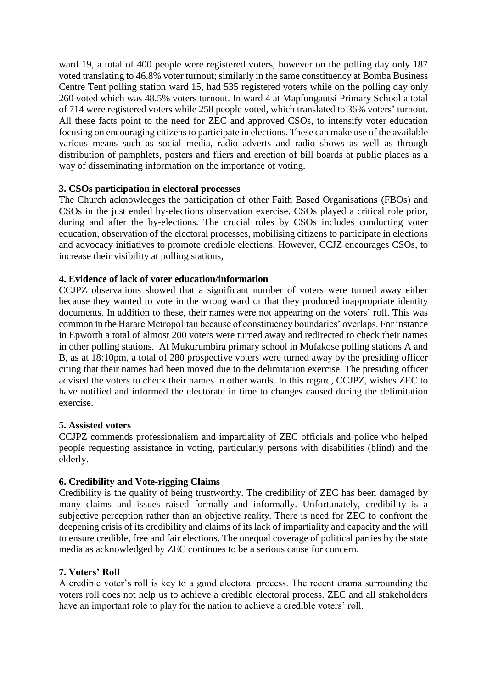ward 19, a total of 400 people were registered voters, however on the polling day only 187 voted translating to 46.8% voter turnout; similarly in the same constituency at Bomba Business Centre Tent polling station ward 15, had 535 registered voters while on the polling day only 260 voted which was 48.5% voters turnout. In ward 4 at Mapfungautsi Primary School a total of 714 were registered voters while 258 people voted, which translated to 36% voters' turnout. All these facts point to the need for ZEC and approved CSOs, to intensify voter education focusing on encouraging citizens to participate in elections. These can make use of the available various means such as social media, radio adverts and radio shows as well as through distribution of pamphlets, posters and fliers and erection of bill boards at public places as a way of disseminating information on the importance of voting.

# **3. CSOs participation in electoral processes**

The Church acknowledges the participation of other Faith Based Organisations (FBOs) and CSOs in the just ended by-elections observation exercise. CSOs played a critical role prior, during and after the by-elections. The crucial roles by CSOs includes conducting voter education, observation of the electoral processes, mobilising citizens to participate in elections and advocacy initiatives to promote credible elections. However, CCJZ encourages CSOs, to increase their visibility at polling stations,

# **4. Evidence of lack of voter education/information**

CCJPZ observations showed that a significant number of voters were turned away either because they wanted to vote in the wrong ward or that they produced inappropriate identity documents. In addition to these, their names were not appearing on the voters' roll. This was common in the Harare Metropolitan because of constituency boundaries' overlaps. For instance in Epworth a total of almost 200 voters were turned away and redirected to check their names in other polling stations. At Mukurumbira primary school in Mufakose polling stations A and B, as at 18:10pm, a total of 280 prospective voters were turned away by the presiding officer citing that their names had been moved due to the delimitation exercise. The presiding officer advised the voters to check their names in other wards. In this regard, CCJPZ, wishes ZEC to have notified and informed the electorate in time to changes caused during the delimitation exercise.

#### **5. Assisted voters**

CCJPZ commends professionalism and impartiality of ZEC officials and police who helped people requesting assistance in voting, particularly persons with disabilities (blind) and the elderly.

#### **6. Credibility and Vote-rigging Claims**

Credibility is the quality of being trustworthy. The credibility of ZEC has been damaged by many claims and issues raised formally and informally. Unfortunately, credibility is a subjective perception rather than an objective reality. There is need for ZEC to confront the deepening crisis of its credibility and claims of its lack of impartiality and capacity and the will to ensure credible, free and fair elections. The unequal coverage of political parties by the state media as acknowledged by ZEC continues to be a serious cause for concern.

# **7. Voters' Roll**

A credible voter's roll is key to a good electoral process. The recent drama surrounding the voters roll does not help us to achieve a credible electoral process. ZEC and all stakeholders have an important role to play for the nation to achieve a credible voters' roll.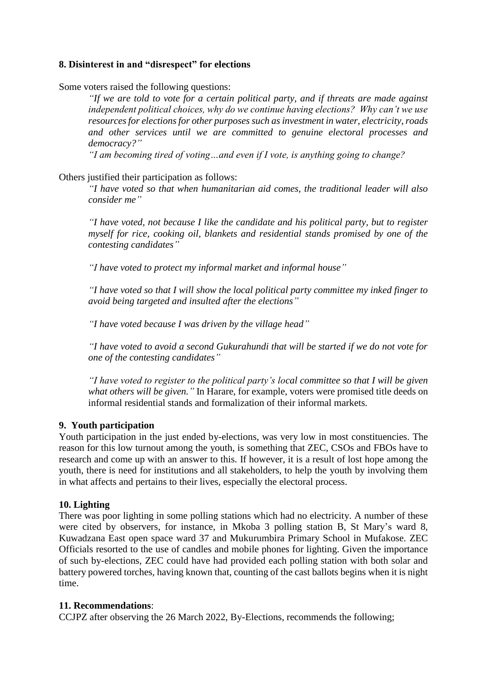# **8. Disinterest in and "disrespect" for elections**

Some voters raised the following questions:

*"If we are told to vote for a certain political party, and if threats are made against independent political choices, why do we continue having elections? Why can't we use resources for elections for other purposes such as investment in water, electricity, roads and other services until we are committed to genuine electoral processes and democracy?"*

*"I am becoming tired of voting…and even if I vote, is anything going to change?* 

#### Others justified their participation as follows:

*"I have voted so that when humanitarian aid comes, the traditional leader will also consider me"*

*"I have voted, not because I like the candidate and his political party, but to register myself for rice, cooking oil, blankets and residential stands promised by one of the contesting candidates"*

*"I have voted to protect my informal market and informal house"*

*"I have voted so that I will show the local political party committee my inked finger to avoid being targeted and insulted after the elections"*

*"I have voted because I was driven by the village head"*

*"I have voted to avoid a second Gukurahundi that will be started if we do not vote for one of the contesting candidates"*

*"I have voted to register to the political party's local committee so that I will be given what others will be given."* In Harare, for example, voters were promised title deeds on informal residential stands and formalization of their informal markets*.*

#### **9. Youth participation**

Youth participation in the just ended by-elections, was very low in most constituencies. The reason for this low turnout among the youth, is something that ZEC, CSOs and FBOs have to research and come up with an answer to this. If however, it is a result of lost hope among the youth, there is need for institutions and all stakeholders, to help the youth by involving them in what affects and pertains to their lives, especially the electoral process.

#### **10. Lighting**

There was poor lighting in some polling stations which had no electricity. A number of these were cited by observers, for instance, in Mkoba 3 polling station B, St Mary's ward 8, Kuwadzana East open space ward 37 and Mukurumbira Primary School in Mufakose. ZEC Officials resorted to the use of candles and mobile phones for lighting. Given the importance of such by-elections, ZEC could have had provided each polling station with both solar and battery powered torches, having known that, counting of the cast ballots begins when it is night time.

#### **11. Recommendations**:

CCJPZ after observing the 26 March 2022, By-Elections, recommends the following;